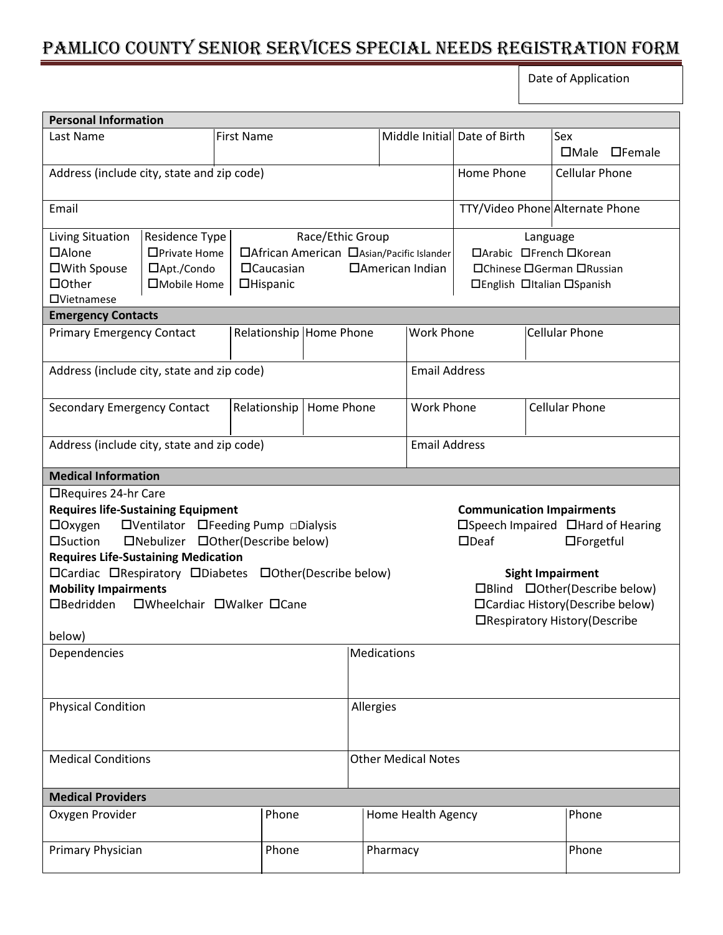## Pamlico County Senior Services Special Needs Registration Form

Date of Application

| <b>Personal Information</b>                                                                                                                                                                                                                                                                                                                                        |                                                                |                                                                                                                                                                                                                               |                            |                    |                            |          |                                                                                                                                                                                                                                           |                              |                       |                                     |
|--------------------------------------------------------------------------------------------------------------------------------------------------------------------------------------------------------------------------------------------------------------------------------------------------------------------------------------------------------------------|----------------------------------------------------------------|-------------------------------------------------------------------------------------------------------------------------------------------------------------------------------------------------------------------------------|----------------------------|--------------------|----------------------------|----------|-------------------------------------------------------------------------------------------------------------------------------------------------------------------------------------------------------------------------------------------|------------------------------|-----------------------|-------------------------------------|
| Last Name                                                                                                                                                                                                                                                                                                                                                          |                                                                | <b>First Name</b>                                                                                                                                                                                                             |                            |                    |                            |          |                                                                                                                                                                                                                                           | Middle Initial Date of Birth |                       | Sex<br>$\Box$ Male<br>$\Box$ Female |
| Address (include city, state and zip code)                                                                                                                                                                                                                                                                                                                         |                                                                |                                                                                                                                                                                                                               |                            |                    |                            |          |                                                                                                                                                                                                                                           | Home Phone                   |                       | <b>Cellular Phone</b>               |
| Email                                                                                                                                                                                                                                                                                                                                                              |                                                                |                                                                                                                                                                                                                               |                            |                    |                            |          | TTY/Video Phone Alternate Phone                                                                                                                                                                                                           |                              |                       |                                     |
| Living Situation<br>$\Box$ Alone<br>□With Spouse<br>$\Box$ Other<br><b>OVietnamese</b>                                                                                                                                                                                                                                                                             | Residence Type<br>□Private Home<br>□Apt./Condo<br>□Mobile Home | Race/Ethic Group<br>Language<br>□ African American □ Asian/Pacific Islander<br>□Arabic □French □Korean<br>$\Box$ Caucasian<br>□American Indian<br>□Chinese □German □Russian<br><b>OHispanic</b><br>□English □Italian □Spanish |                            |                    |                            |          |                                                                                                                                                                                                                                           |                              |                       |                                     |
| <b>Emergency Contacts</b>                                                                                                                                                                                                                                                                                                                                          |                                                                |                                                                                                                                                                                                                               |                            |                    |                            |          |                                                                                                                                                                                                                                           |                              |                       |                                     |
| <b>Primary Emergency Contact</b>                                                                                                                                                                                                                                                                                                                                   |                                                                |                                                                                                                                                                                                                               | Relationship Home Phone    |                    |                            |          | <b>Work Phone</b>                                                                                                                                                                                                                         |                              | <b>Cellular Phone</b> |                                     |
| Address (include city, state and zip code)                                                                                                                                                                                                                                                                                                                         |                                                                |                                                                                                                                                                                                                               |                            |                    |                            |          | <b>Email Address</b>                                                                                                                                                                                                                      |                              |                       |                                     |
| <b>Secondary Emergency Contact</b>                                                                                                                                                                                                                                                                                                                                 |                                                                |                                                                                                                                                                                                                               | Relationship<br>Home Phone |                    |                            |          |                                                                                                                                                                                                                                           | <b>Work Phone</b>            |                       | <b>Cellular Phone</b>               |
| Address (include city, state and zip code)                                                                                                                                                                                                                                                                                                                         |                                                                |                                                                                                                                                                                                                               |                            |                    |                            |          | <b>Email Address</b>                                                                                                                                                                                                                      |                              |                       |                                     |
| <b>Medical Information</b>                                                                                                                                                                                                                                                                                                                                         |                                                                |                                                                                                                                                                                                                               |                            |                    |                            |          |                                                                                                                                                                                                                                           |                              |                       |                                     |
| □Requires 24-hr Care<br><b>Requires life-Sustaining Equipment</b><br>□Ventilator □Feeding Pump □Dialysis<br>$\Box$ Oxygen<br>□Suction<br>□Nebulizer □Other(Describe below)<br><b>Requires Life-Sustaining Medication</b><br>□Cardiac □Respiratory □Diabetes □Other(Describe below)<br><b>Mobility Impairments</b><br>$\Box$ Bedridden<br>□Wheelchair □Walker □Cane |                                                                |                                                                                                                                                                                                                               |                            |                    |                            |          | <b>Communication Impairments</b><br>□Speech Impaired □Hard of Hearing<br>$\Box$ Deaf<br>$\Box$ Forgetful<br><b>Sight Impairment</b><br>□Blind □Other(Describe below)<br>□Cardiac History(Describe below)<br>□Respiratory History(Describe |                              |                       |                                     |
| below)<br>Dependencies                                                                                                                                                                                                                                                                                                                                             |                                                                |                                                                                                                                                                                                                               |                            |                    | Medications                |          |                                                                                                                                                                                                                                           |                              |                       |                                     |
|                                                                                                                                                                                                                                                                                                                                                                    |                                                                |                                                                                                                                                                                                                               |                            |                    |                            |          |                                                                                                                                                                                                                                           |                              |                       |                                     |
| <b>Physical Condition</b>                                                                                                                                                                                                                                                                                                                                          |                                                                |                                                                                                                                                                                                                               |                            | Allergies          |                            |          |                                                                                                                                                                                                                                           |                              |                       |                                     |
| <b>Medical Conditions</b>                                                                                                                                                                                                                                                                                                                                          |                                                                |                                                                                                                                                                                                                               |                            |                    | <b>Other Medical Notes</b> |          |                                                                                                                                                                                                                                           |                              |                       |                                     |
| <b>Medical Providers</b>                                                                                                                                                                                                                                                                                                                                           |                                                                |                                                                                                                                                                                                                               |                            |                    |                            |          |                                                                                                                                                                                                                                           |                              |                       |                                     |
| Oxygen Provider                                                                                                                                                                                                                                                                                                                                                    | Phone                                                          |                                                                                                                                                                                                                               |                            | Home Health Agency |                            |          |                                                                                                                                                                                                                                           |                              | Phone                 |                                     |
| Primary Physician                                                                                                                                                                                                                                                                                                                                                  |                                                                |                                                                                                                                                                                                                               | Phone                      |                    |                            | Pharmacy |                                                                                                                                                                                                                                           |                              |                       | Phone                               |